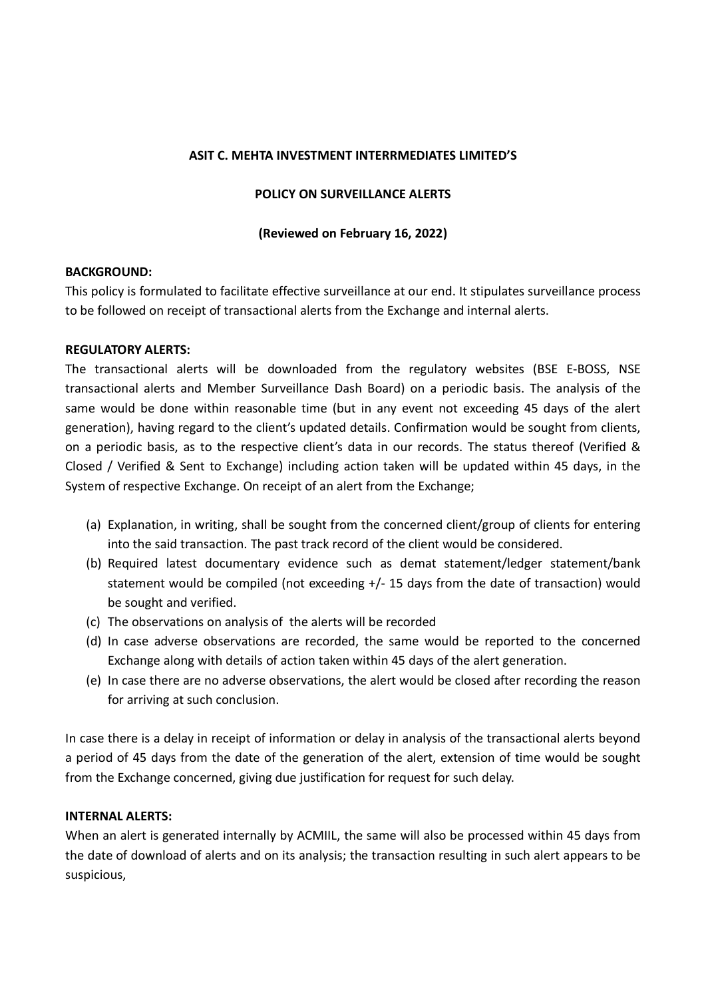### ASIT C. MEHTA INVESTMENT INTERRMEDIATES LIMITED'S

### POLICY ON SURVEILLANCE ALERTS

# (Reviewed on February 16, 2022)

### BACKGROUND:

This policy is formulated to facilitate effective surveillance at our end. It stipulates surveillance process to be followed on receipt of transactional alerts from the Exchange and internal alerts.

### REGULATORY ALERTS:

The transactional alerts will be downloaded from the regulatory websites (BSE E-BOSS, NSE transactional alerts and Member Surveillance Dash Board) on a periodic basis. The analysis of the same would be done within reasonable time (but in any event not exceeding 45 days of the alert generation), having regard to the client's updated details. Confirmation would be sought from clients, on a periodic basis, as to the respective client's data in our records. The status thereof (Verified & Closed / Verified & Sent to Exchange) including action taken will be updated within 45 days, in the System of respective Exchange. On receipt of an alert from the Exchange;

- (a) Explanation, in writing, shall be sought from the concerned client/group of clients for entering into the said transaction. The past track record of the client would be considered.
- (b) Required latest documentary evidence such as demat statement/ledger statement/bank statement would be compiled (not exceeding +/- 15 days from the date of transaction) would be sought and verified.
- (c) The observations on analysis of the alerts will be recorded
- (d) In case adverse observations are recorded, the same would be reported to the concerned Exchange along with details of action taken within 45 days of the alert generation.
- (e) In case there are no adverse observations, the alert would be closed after recording the reason for arriving at such conclusion.

In case there is a delay in receipt of information or delay in analysis of the transactional alerts beyond a period of 45 days from the date of the generation of the alert, extension of time would be sought from the Exchange concerned, giving due justification for request for such delay.

# INTERNAL ALERTS:

When an alert is generated internally by ACMIIL, the same will also be processed within 45 days from the date of download of alerts and on its analysis; the transaction resulting in such alert appears to be suspicious,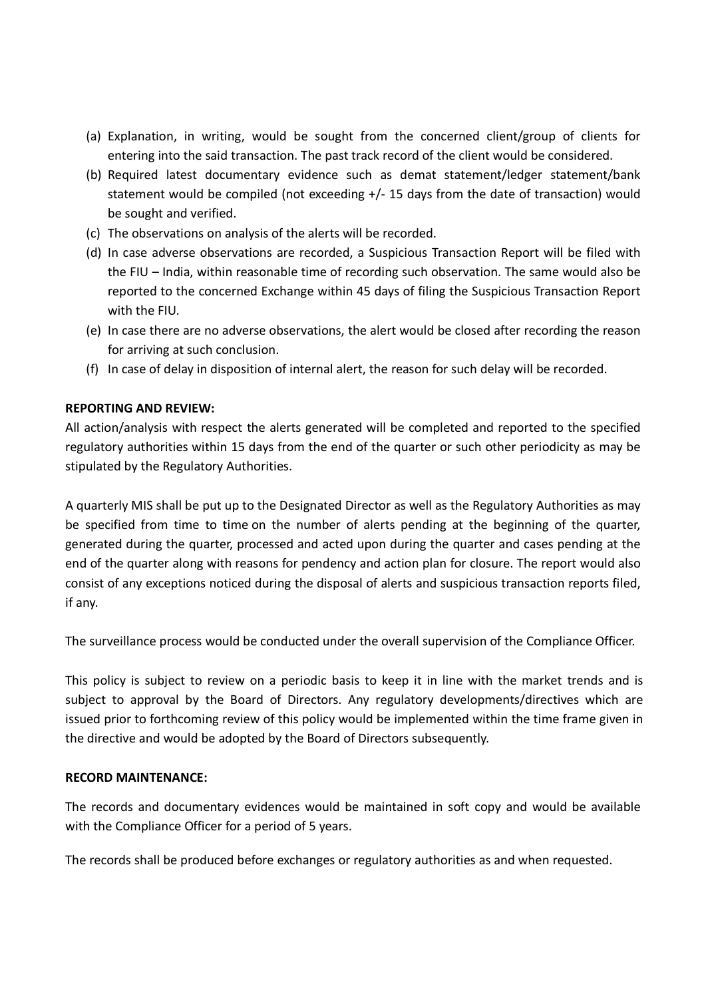- (a) Explanation, in writing, would be sought from the concerned client/group of clients for entering into the said transaction. The past track record of the client would be considered.
- (b) Required latest documentary evidence such as demat statement/ledger statement/bank statement would be compiled (not exceeding +/- 15 days from the date of transaction) would be sought and verified.
- (c) The observations on analysis of the alerts will be recorded.
- (d) In case adverse observations are recorded, a Suspicious Transaction Report will be filed with the FIU – India, within reasonable time of recording such observation. The same would also be reported to the concerned Exchange within 45 days of filing the Suspicious Transaction Report with the FIU.
- (e) In case there are no adverse observations, the alert would be closed after recording the reason for arriving at such conclusion.
- (f) In case of delay in disposition of internal alert, the reason for such delay will be recorded.

# REPORTING AND REVIEW:

All action/analysis with respect the alerts generated will be completed and reported to the specified regulatory authorities within 15 days from the end of the quarter or such other periodicity as may be stipulated by the Regulatory Authorities.

A quarterly MIS shall be put up to the Designated Director as well as the Regulatory Authorities as may be specified from time to time on the number of alerts pending at the beginning of the quarter, generated during the quarter, processed and acted upon during the quarter and cases pending at the end of the quarter along with reasons for pendency and action plan for closure. The report would also consist of any exceptions noticed during the disposal of alerts and suspicious transaction reports filed, if any.

The surveillance process would be conducted under the overall supervision of the Compliance Officer.

This policy is subject to review on a periodic basis to keep it in line with the market trends and is subject to approval by the Board of Directors. Any regulatory developments/directives which are issued prior to forthcoming review of this policy would be implemented within the time frame given in the directive and would be adopted by the Board of Directors subsequently.

# RECORD MAINTENANCE:

The records and documentary evidences would be maintained in soft copy and would be available with the Compliance Officer for a period of 5 years.

The records shall be produced before exchanges or regulatory authorities as and when requested.